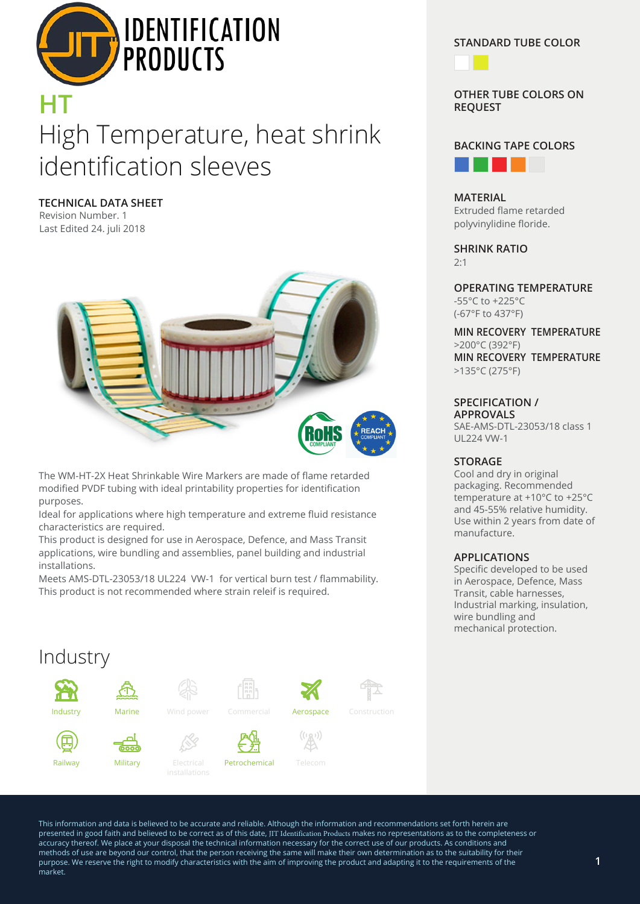

# High Temperature, heat shrink identification sleeves **HT**

**TECHNICAL DATA SHEET**

Revision Number. 1 Last Edited 24. juli 2018



The WM-HT-2X Heat Shrinkable Wire Markers are made of flame retarded modified PVDF tubing with ideal printability properties for identification purposes.

Ideal for applications where high temperature and extreme fluid resistance characteristics are required.

This product is designed for use in Aerospace, Defence, and Mass Transit applications, wire bundling and assemblies, panel building and industrial installations.

Meets AMS-DTL-23053/18 UL224 VW-1 for vertical burn test / flammability. This product is not recommended where strain releif is required.

### Industry Ł۳, **Industry Marine** Wind power Commercial **Aerospace** Construction  $\mathbb{A}^{(n)}$ (曰 Railway Military Electrical Petrochemical Telecom

#### **STANDARD TUBE COLOR**



**OTHER TUBE COLORS ON REQUEST**



**MATERIAL** Extruded flame retarded polyvinylidine floride.

**SHRINK RATIO**  $2.1$ 

**OPERATING TEMPERATURE** -55°C to +225°C (-67°F to 437°F)

**MIN RECOVERY TEMPERATURE** >200°C (392°F) **MIN RECOVERY TEMPERATURE** >135°C (275°F)

#### **SPECIFICATION / APPROVALS**

SAE-AMS-DTL-23053/18 class 1 UL224 VW-1

#### **STORAGE**

Cool and dry in original packaging. Recommended temperature at +10°C to +25°C and 45-55% relative humidity. Use within 2 years from date of manufacture.

#### **APPLICATIONS**

Specific developed to be used in Aerospace, Defence, Mass Transit, cable harnesses, Industrial marking, insulation, wire bundling and mechanical protection.

This information and data is believed to be accurate and reliable. Although the information and recommendations set forth herein are presented in good faith and believed to be correct as of this date, JIT Identification Products makes no representations as to the completeness or accuracy thereof. We place at your disposal the technical information necessary for the correct use of our products. As conditions and methods of use are beyond our control, that the person receiving the same will make their own determination as to the suitability for their purpose. We reserve the right to modify characteristics with the aim of improving the product and adapting it to the requirements of the market.